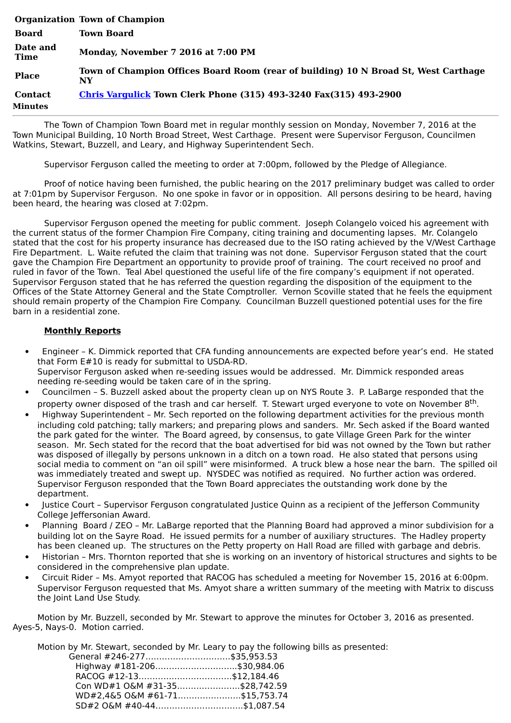|                           | <b>Organization Town of Champion</b>                                                      |
|---------------------------|-------------------------------------------------------------------------------------------|
| <b>Board</b>              | <b>Town Board</b>                                                                         |
| Date and<br><b>Time</b>   | Monday, November 7 2016 at 7:00 PM                                                        |
| <b>Place</b>              | Town of Champion Offices Board Room (rear of building) 10 N Broad St, West Carthage<br>NY |
| <b>Contact</b><br>Minutes | <b>Chris Vargulick Town Clerk Phone (315) 493-3240 Fax(315) 493-2900</b>                  |

The Town of Champion Town Board met in regular monthly session on Monday, November 7, 2016 at the Town Municipal Building, 10 North Broad Street, West Carthage. Present were Supervisor Ferguson, Councilmen Watkins, Stewart, Buzzell, and Leary, and Highway Superintendent Sech.

Supervisor Ferguson called the meeting to order at 7:00pm, followed by the Pledge of Allegiance.

Proof of notice having been furnished, the public hearing on the 2017 preliminary budget was called to order at 7:01pm by Supervisor Ferguson. No one spoke in favor or in opposition. All persons desiring to be heard, having been heard, the hearing was closed at 7:02pm.

Supervisor Ferguson opened the meeting for public comment. Joseph Colangelo voiced his agreement with the current status of the former Champion Fire Company, citing training and documenting lapses. Mr. Colangelo stated that the cost for his property insurance has decreased due to the ISO rating achieved by the V/West Carthage Fire Department. L. Waite refuted the claim that training was not done. Supervisor Ferguson stated that the court gave the Champion Fire Department an opportunity to provide proof of training. The court received no proof and ruled in favor of the Town. Teal Abel questioned the useful life of the fire company's equipment if not operated. Supervisor Ferguson stated that he has referred the question regarding the disposition of the equipment to the Offices of the State Attorney General and the State Comptroller. Vernon Scoville stated that he feels the equipment should remain property of the Champion Fire Company. Councilman Buzzell questioned potential uses for the fire barn in a residential zone.

## **Monthly Reports**

- · Engineer K. Dimmick reported that CFA funding announcements are expected before year's end. He stated that Form E#10 is ready for submittal to USDA-RD. Supervisor Ferguson asked when re-seeding issues would be addressed. Mr. Dimmick responded areas needing re-seeding would be taken care of in the spring.
- · Councilmen S. Buzzell asked about the property clean up on NYS Route 3. P. LaBarge responded that the property owner disposed of the trash and car herself. T. Stewart urged everyone to vote on November 8<sup>th</sup>.
- · Highway Superintendent Mr. Sech reported on the following department activities for the previous month including cold patching; tally markers; and preparing plows and sanders. Mr. Sech asked if the Board wanted the park gated for the winter. The Board agreed, by consensus, to gate Village Green Park for the winter season. Mr. Sech stated for the record that the boat advertised for bid was not owned by the Town but rather was disposed of illegally by persons unknown in a ditch on a town road. He also stated that persons using social media to comment on "an oil spill" were misinformed. A truck blew a hose near the barn. The spilled oil was immediately treated and swept up. NYSDEC was notified as required. No further action was ordered. Supervisor Ferguson responded that the Town Board appreciates the outstanding work done by the department.
- · Justice Court Supervisor Ferguson congratulated Justice Quinn as a recipient of the Jefferson Community College Jeffersonian Award.
- · Planning Board / ZEO Mr. LaBarge reported that the Planning Board had approved a minor subdivision for a building lot on the Sayre Road. He issued permits for a number of auxiliary structures. The Hadley property has been cleaned up. The structures on the Petty property on Hall Road are filled with garbage and debris.
- · Historian Mrs. Thornton reported that she is working on an inventory of historical structures and sights to be considered in the comprehensive plan update.
- · Circuit Rider Ms. Amyot reported that RACOG has scheduled a meeting for November 15, 2016 at 6:00pm. Supervisor Ferguson requested that Ms. Amyot share a written summary of the meeting with Matrix to discuss the Joint Land Use Study.

Motion by Mr. Buzzell, seconded by Mr. Stewart to approve the minutes for October 3, 2016 as presented. Ayes-5, Nays-0. Motion carried.

Motion by Mr. Stewart, seconded by Mr. Leary to pay the following bills as presented:

| General #246-277\$35,953.53    |  |
|--------------------------------|--|
| Highway #181-206\$30,984.06    |  |
| RACOG #12-13\$12,184.46        |  |
| Con WD#1 O&M #31-35\$28,742.59 |  |
| WD#2,4&5 O&M #61-71\$15,753.74 |  |
| SD#2 O&M #40-44\$1,087.54      |  |